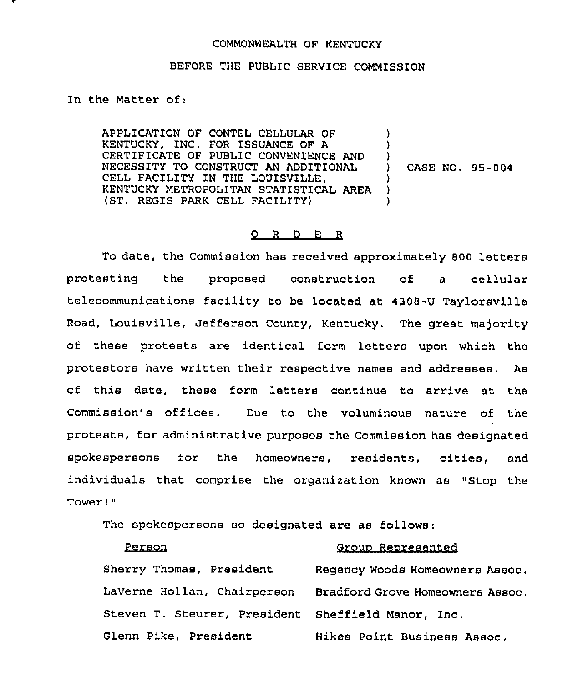## COMMONWEALTH OF KENTUCKY

## BEFORE THE PUBLIC SERVICE COMMISSION

In the Matter of:

APPLICATION OF CONTEL CELLULAR OF KENTUCKY, INC. FOR ISSUANCE OF A CERTIFICATE OF PUBLIC CONVENIENCE AND NECESSITY TO CONSTRUCT AN ADDITIONAL CELL FACILITY IN THE LOUISVILLE, KENTUCKY METROPOLITAN STATISTICAL AREA (ST, REGIS PARK CELL FACILITY) ) ) ) ) CASE NO. 55-004 ) ) )

## 0 <sup>R</sup> <sup>D</sup> E <sup>R</sup>

To date, the Commission has received approximately 800 letters protesting the proposed construction of a cellular telecommunications facility to be located at 4308-U Taylorsville Road, Louisville, Jefferson County, Kentucky. The great majority of these protests are identical form letters upon which the protestors have written their respective names and addresses. As of this date, these form letters continue to arrive at the Commission's offices. Due to the voluminous nature of the protests, for administrative purposes the Commission has designated spokespersons for the homeowners, residents, cities, and individuals that comprise the organization known as "Stop the Tower!"

The spokespersons so designated are as follows:

| Person                                             | Group Represented                |
|----------------------------------------------------|----------------------------------|
| Sherry Thomas, President                           | Regency Woods Homeowners Assoc.  |
| LaVerne Hollan, Chairperson                        | Bradford Grove Homeowners Assoc. |
| Steven T. Steurer, President Sheffield Manor, Inc. |                                  |
| Glenn Pike, President                              | Hikes Point Business Assoc.      |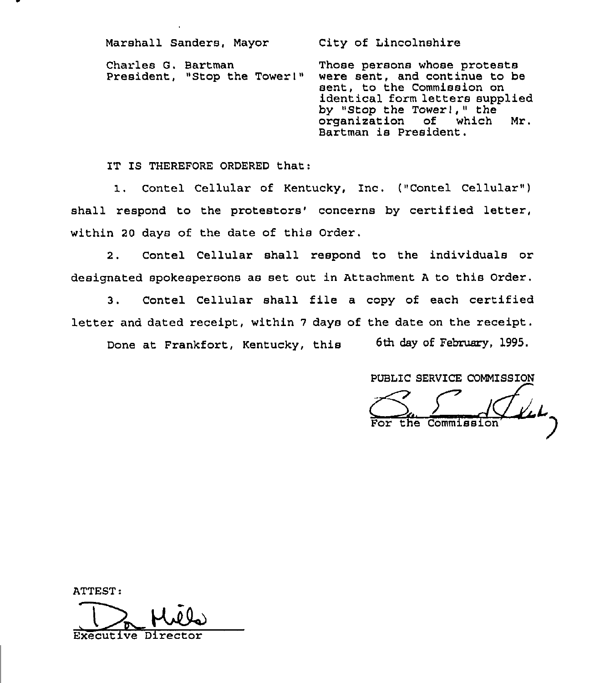Marshall Sanders, Mayor City of Lincolnshire Charles G. Bartman President, "Stop the Tower)" Those persons whose protests were sent, and continue to be sent, to the Commission on identical form letters supplied by "Stop the Tower!," the<br>organization of which organization of which Mr. Bartman is President.

IT IS THEREFORE ORDERED that:

1. Contel Cellular of Kentucky, Inc. ("Contel Cellular") shall respond to the protestors' concerns by certified letter, within 20 days of the date of this Order.

2. Contel Cellular shall respond to the individuals or designated spokespersons as set out in Attachment <sup>A</sup> to this Order.

3. Contel Cellular shall file a copy of each certified letter and dated receipt, within <sup>7</sup> days of the date on the receipt.

Done at Frankfort, Kentucky, this 6th day of February, 1995.

PUBLIC SERVICE COMMISSION

For the Commission

ATTEST: De Mile